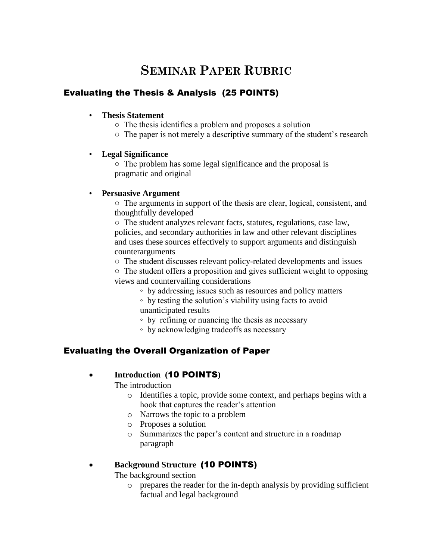# **SEMINAR PAPER RUBRIC**

# Evaluating the Thesis & Analysis (25 POINTS)

### • **Thesis Statement**

- The thesis identifies a problem and proposes a solution
- The paper is not merely a descriptive summary of the student's research

### • **Legal Significance**

○ The problem has some legal significance and the proposal is pragmatic and original

### • **Persuasive Argument**

○ The arguments in support of the thesis are clear, logical, consistent, and thoughtfully developed

○ The student analyzes relevant facts, statutes, regulations, case law, policies, and secondary authorities in law and other relevant disciplines and uses these sources effectively to support arguments and distinguish counterarguments

○ The student discusses relevant policy-related developments and issues

○ The student offers a proposition and gives sufficient weight to opposing views and countervailing considerations

◦ by addressing issues such as resources and policy matters

◦ by testing the solution's viability using facts to avoid unanticipated results

◦ by refining or nuancing the thesis as necessary

◦ by acknowledging tradeoffs as necessary

# Evaluating the Overall Organization of Paper

## **Introduction (**10 POINTS**)**

The introduction

- o Identifies a topic, provide some context, and perhaps begins with a hook that captures the reader's attention
- o Narrows the topic to a problem
- o Proposes a solution
- o Summarizes the paper's content and structure in a roadmap paragraph

# **Background Structure** (10 POINTS)

The background section

o prepares the reader for the in-depth analysis by providing sufficient factual and legal background